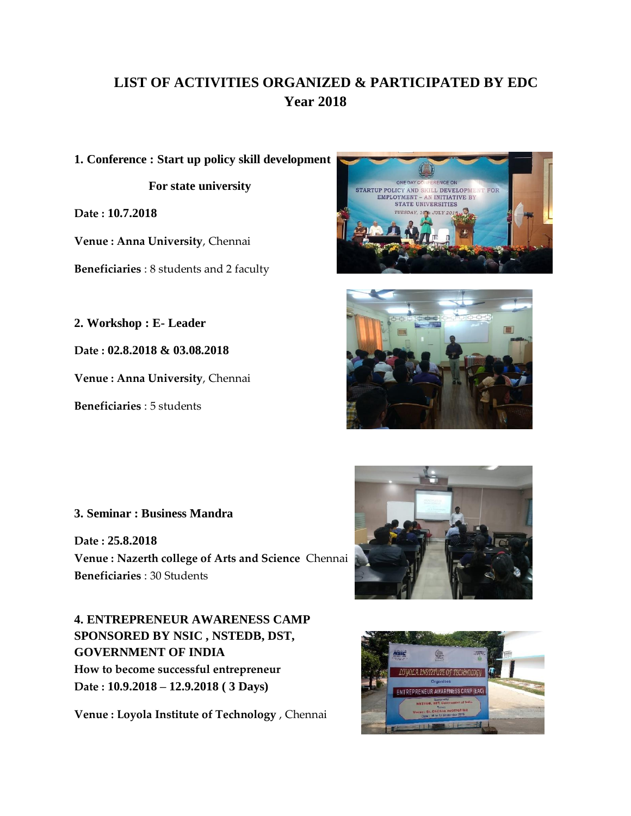# **LIST OF ACTIVITIES ORGANIZED & PARTICIPATED BY EDC Year 2018**

**1. Conference : Start up policy skill development** 

 **For state university** 

**Date : 10.7.2018** 

**Venue : Anna University**, Chennai

**Beneficiaries** : 8 students and 2 faculty

**2. Workshop : E- Leader** 

**Date : 02.8.2018 & 03.08.2018**

**Venue : Anna University**, Chennai

**Beneficiaries** : 5 students





#### **3. Seminar : Business Mandra**

**Date : 25.8.2018 Venue : Nazerth college of Arts and Science** Chennai **Beneficiaries** : 30 Students

**4. ENTREPRENEUR AWARENESS CAMP SPONSORED BY NSIC , NSTEDB, DST, GOVERNMENT OF INDIA How to become successful entrepreneur Date : 10.9.2018 – 12.9.2018 ( 3 Days)**

**Venue : Loyola Institute of Technology** , Chennai



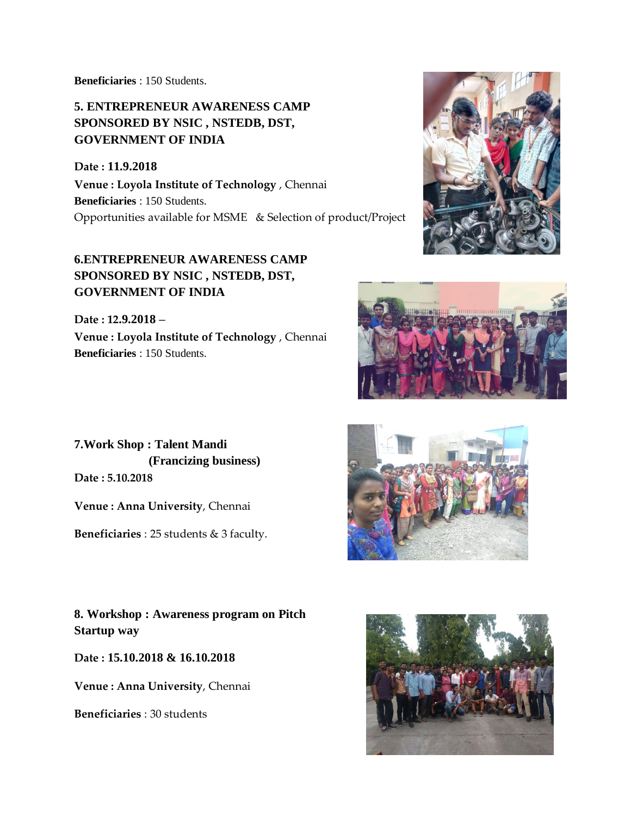**Beneficiaries** : 150 Students.

## **5. ENTREPRENEUR AWARENESS CAMP SPONSORED BY NSIC , NSTEDB, DST, GOVERNMENT OF INDIA**

**Date : 11.9.2018 Venue : Loyola Institute of Technology** , Chennai **Beneficiaries** : 150 Students. Opportunities available for MSME & Selection of product/Project

## **6.ENTREPRENEUR AWARENESS CAMP SPONSORED BY NSIC , NSTEDB, DST, GOVERNMENT OF INDIA**

**Date : 12.9.2018 – Venue : Loyola Institute of Technology** , Chennai **Beneficiaries** : 150 Students.





**7.Work Shop : Talent Mandi (Francizing business) Date : 5.10.2018**

**Venue : Anna University**, Chennai

**Beneficiaries** : 25 students & 3 faculty.

**8. Workshop : Awareness program on Pitch Startup way** 

**Date : 15.10.2018 & 16.10.2018**

**Venue : Anna University**, Chennai

**Beneficiaries** : 30 students

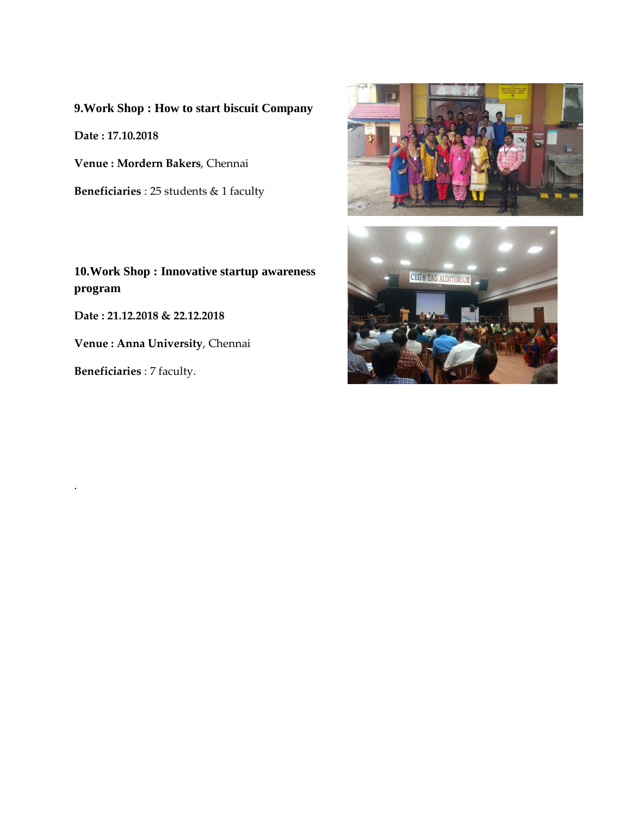### **9.Work Shop : How to start biscuit Company**

**Date : 17.10.2018**

**Venue : Mordern Bakers**, Chennai

**Beneficiaries** : 25 students & 1 faculty

**10.Work Shop : Innovative startup awareness program** 

**Date : 21.12.2018 & 22.12.2018**

**Venue : Anna University**, Chennai

**Beneficiaries** : 7 faculty.

.